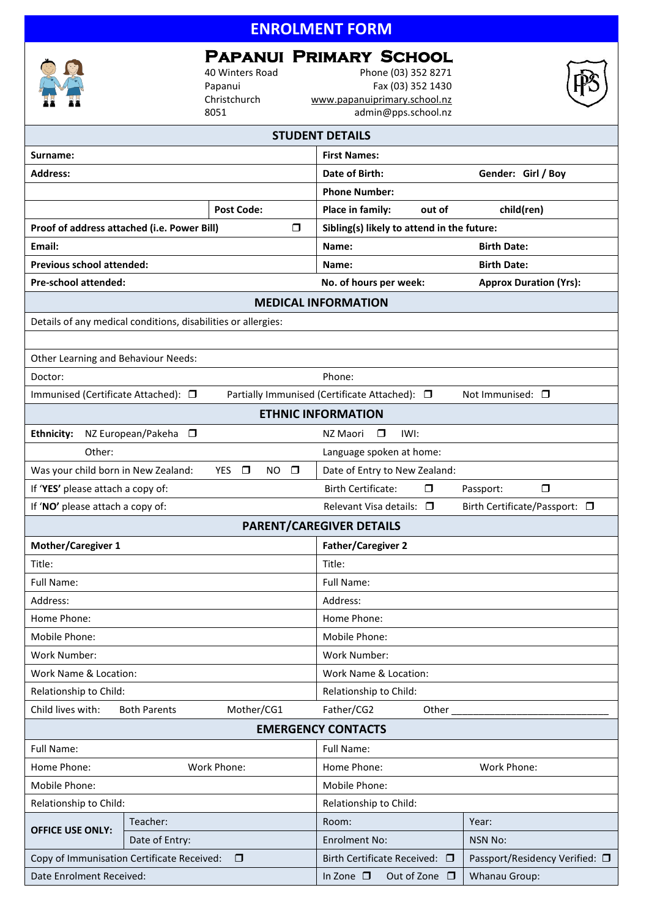# **ENROLMENT FORM**

## **Papanui Primary School**

40 Winters Road Phone (03) 352 8271 Papanui Fax (03) 352 1430<br>Christchurch www.papanuiprimary.school.nz Christchurch [www.papanuiprimary.school.nz](http://www.papanuiprimary.school.nz/)<br>8051 admin@pps.school.nz admin@pps.school.nz

|                                                                                      |                     |  |                               | <b>STUDENT DETAILS</b>                     |                               |                                |        |  |
|--------------------------------------------------------------------------------------|---------------------|--|-------------------------------|--------------------------------------------|-------------------------------|--------------------------------|--------|--|
| Surname:                                                                             |                     |  |                               | <b>First Names:</b>                        |                               |                                |        |  |
| <b>Address:</b>                                                                      |                     |  |                               | Date of Birth:<br>Gender: Girl / Boy       |                               |                                |        |  |
|                                                                                      |                     |  |                               | <b>Phone Number:</b>                       |                               |                                |        |  |
| <b>Post Code:</b>                                                                    |                     |  | Place in family:              | out of                                     | child(ren)                    |                                |        |  |
| Proof of address attached (i.e. Power Bill)<br>$\Box$                                |                     |  |                               | Sibling(s) likely to attend in the future: |                               |                                |        |  |
| Email:                                                                               |                     |  |                               | <b>Birth Date:</b><br>Name:                |                               |                                |        |  |
| Previous school attended:                                                            |                     |  |                               | Name:                                      |                               | <b>Birth Date:</b>             |        |  |
| Pre-school attended:                                                                 |                     |  |                               | No. of hours per week:                     | <b>Approx Duration (Yrs):</b> |                                |        |  |
|                                                                                      |                     |  |                               | <b>MEDICAL INFORMATION</b>                 |                               |                                |        |  |
| Details of any medical conditions, disabilities or allergies:                        |                     |  |                               |                                            |                               |                                |        |  |
|                                                                                      |                     |  |                               |                                            |                               |                                |        |  |
| Other Learning and Behaviour Needs:                                                  |                     |  |                               |                                            |                               |                                |        |  |
| Doctor:                                                                              |                     |  |                               | Phone:                                     |                               |                                |        |  |
| Immunised (Certificate Attached): □<br>Partially Immunised (Certificate Attached): □ |                     |  |                               |                                            |                               | Not Immunised: $\square$       |        |  |
|                                                                                      |                     |  |                               | <b>ETHNIC INFORMATION</b>                  |                               |                                |        |  |
| <b>Ethnicity:</b><br>NZ European/Pakeha<br>NZ Maori<br>$\Box$<br>IWI:<br>$\Box$      |                     |  |                               |                                            |                               |                                |        |  |
| Other:                                                                               |                     |  |                               | Language spoken at home:                   |                               |                                |        |  |
| Was your child born in New Zealand:<br>$\Box$<br>$\Box$<br>YES.<br>NO.               |                     |  |                               | Date of Entry to New Zealand:              |                               |                                |        |  |
| If 'YES' please attach a copy of:                                                    |                     |  |                               | <b>Birth Certificate:</b>                  | □                             | Passport:                      | $\Box$ |  |
| If 'NO' please attach a copy of:                                                     |                     |  |                               | Relevant Visa details: □                   |                               | Birth Certificate/Passport: □  |        |  |
|                                                                                      |                     |  |                               | <b>PARENT/CAREGIVER DETAILS</b>            |                               |                                |        |  |
| Mother/Caregiver 1                                                                   |                     |  |                               | <b>Father/Caregiver 2</b>                  |                               |                                |        |  |
| Title:                                                                               |                     |  |                               | Title:                                     |                               |                                |        |  |
| Full Name:                                                                           |                     |  |                               | <b>Full Name:</b>                          |                               |                                |        |  |
| Address:                                                                             |                     |  |                               | Address:                                   |                               |                                |        |  |
| Home Phone:                                                                          |                     |  |                               | Home Phone:                                |                               |                                |        |  |
| Mobile Phone:                                                                        |                     |  |                               | Mobile Phone:                              |                               |                                |        |  |
| Work Number:                                                                         |                     |  |                               | Work Number:                               |                               |                                |        |  |
| Work Name & Location:                                                                |                     |  |                               | Work Name & Location:                      |                               |                                |        |  |
| Relationship to Child:                                                               |                     |  |                               | Relationship to Child:                     |                               |                                |        |  |
| Child lives with:<br><b>Both Parents</b>                                             | Father/CG2<br>Other |  |                               |                                            |                               |                                |        |  |
|                                                                                      |                     |  |                               | <b>EMERGENCY CONTACTS</b>                  |                               |                                |        |  |
| Full Name:                                                                           |                     |  |                               | Full Name:                                 |                               |                                |        |  |
| Work Phone:<br>Home Phone:                                                           |                     |  |                               | Home Phone:<br>Work Phone:                 |                               |                                |        |  |
| Mobile Phone:                                                                        |                     |  |                               | Mobile Phone:                              |                               |                                |        |  |
| Relationship to Child:                                                               |                     |  |                               | Relationship to Child:                     |                               |                                |        |  |
| <b>OFFICE USE ONLY:</b>                                                              | Teacher:            |  |                               | Room:                                      |                               | Year:                          |        |  |
|                                                                                      | Date of Entry:      |  |                               | <b>Enrolment No:</b>                       |                               | <b>NSN No:</b>                 |        |  |
| Copy of Immunisation Certificate Received:<br>$\Box$                                 |                     |  | Birth Certificate Received: □ |                                            |                               | Passport/Residency Verified: □ |        |  |
| Date Enrolment Received:                                                             |                     |  | In Zone $\square$             | Out of Zone $\square$                      | Whanau Group:                 |                                |        |  |